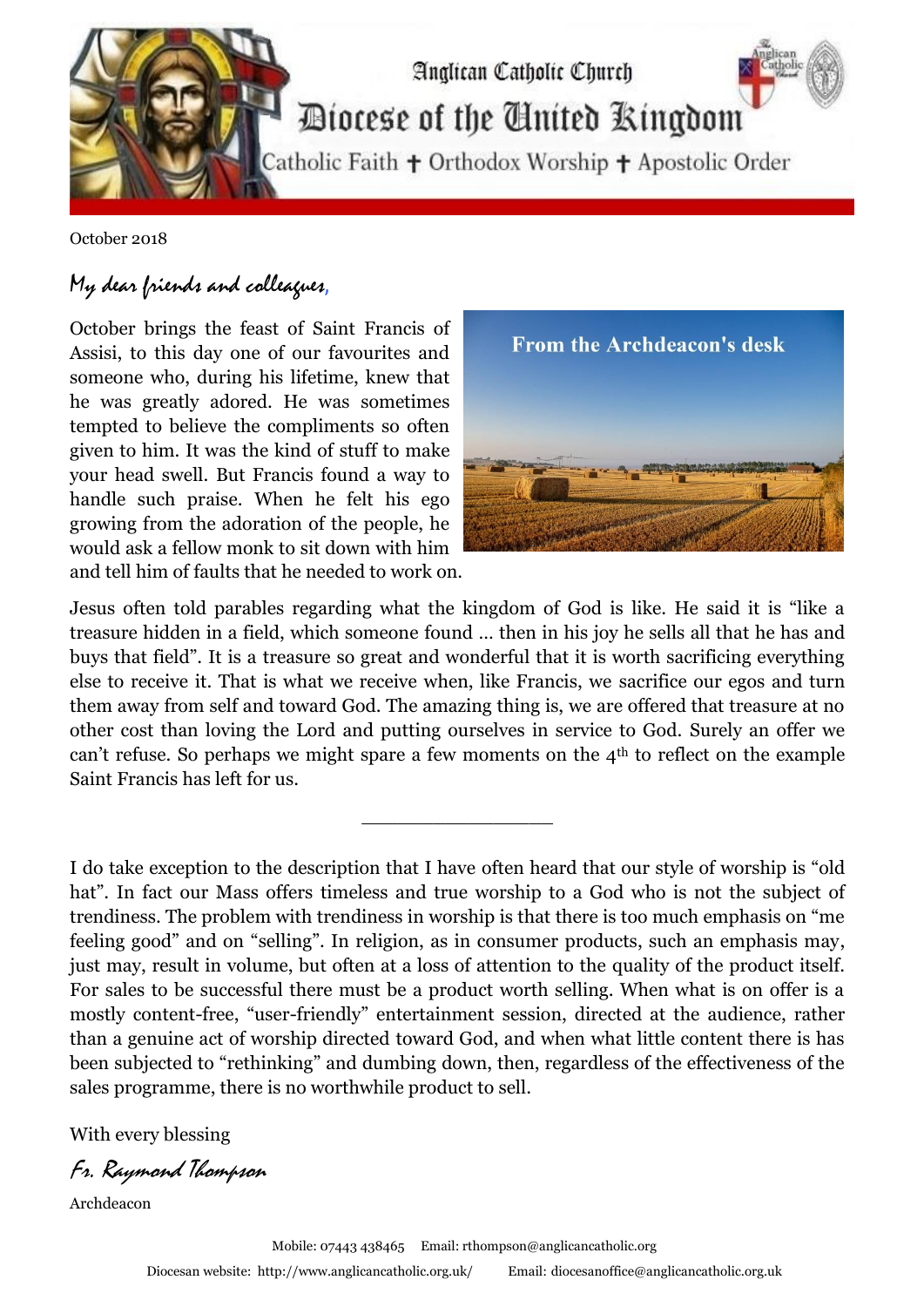

October 2018

## My dear friends and colleagues,

October brings the feast of Saint Francis of Assisi, to this day one of our favourites and someone who, during his lifetime, knew that he was greatly adored. He was sometimes tempted to believe the compliments so often given to him. It was the kind of stuff to make your head swell. But Francis found a way to handle such praise. When he felt his ego growing from the adoration of the people, he would ask a fellow monk to sit down with him and tell him of faults that he needed to work on.



Jesus often told parables regarding what the kingdom of God is like. He said it is "like a treasure hidden in a field, which someone found … then in his joy he sells all that he has and buys that field". It is a treasure so great and wonderful that it is worth sacrificing everything else to receive it. That is what we receive when, like Francis, we sacrifice our egos and turn them away from self and toward God. The amazing thing is, we are offered that treasure at no other cost than loving the Lord and putting ourselves in service to God. Surely an offer we can't refuse. So perhaps we might spare a few moments on the 4th to reflect on the example Saint Francis has left for us.

\_\_\_\_\_\_\_\_\_\_\_\_\_\_\_\_

I do take exception to the description that I have often heard that our style of worship is "old hat". In fact our Mass offers timeless and true worship to a God who is not the subject of trendiness. The problem with trendiness in worship is that there is too much emphasis on "me feeling good" and on "selling". In religion, as in consumer products, such an emphasis may, just may, result in volume, but often at a loss of attention to the quality of the product itself. For sales to be successful there must be a product worth selling. When what is on offer is a mostly content-free, "user-friendly" entertainment session, directed at the audience, rather than a genuine act of worship directed toward God, and when what little content there is has been subjected to "rethinking" and dumbing down, then, regardless of the effectiveness of the sales programme, there is no worthwhile product to sell.

With every blessing

Fr. Raymond Thompson

Archdeacon